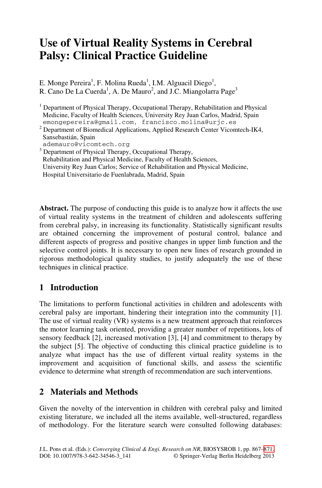# **Use of Virtual Reality Systems in Cerebral Palsy: Clinical Practice Guideline**

E. Monge Pereira<sup>1</sup>, F. Molina Rueda<sup>1</sup>, I.M. Alguacil Diego<sup>1</sup>, R. Cano De La Cuerda<sup>1</sup>, A. De Mauro<sup>2</sup>, and J.C. Miangolarra Page<sup>3</sup>

<sup>1</sup> Department of Physical Therapy, Occupational Therapy, Rehabilitation and Physical Medicine, Faculty of Health Sciences, University Rey Juan Carlos, Madrid, Spain emongepereira@gmail.com, francisco.molina@urjc.es

<sup>2</sup> Department of Biomedical Applications, Applied Research Center Vicomtech-IK4, Sansebastián, Spain

ademauro@vicomtech.org

<sup>3</sup> Department of Physical Therapy, Occupational Therapy,

Rehabilitation and Physical Medicine, Faculty of Health Sciences,

 University Rey Juan Carlos; Service of Rehabilitation and Physical Medicine, Hospital Universitario de Fuenlabrada, Madrid, Spain

**Abstract.** The purpose of conducting this guide is to analyze how it affects the use of virtual reality systems in the treatment of children and adolescents suffering from cerebral palsy, in increasing its functionality. Statistically significant results are obtained concerning the improvement of postural control, balance and different aspects of progress and positive changes in upper limb function and the selective control joints. It is necessary to open new lines of research grounded in rigorous methodological quality studies, to justify adequately the use of these techniques in clinical practice.

# **1 Introduction**

The limitations to perform functional activities in children and adolescents with cerebral palsy are important, hindering their integration into the community [1]. The use of virtual reality (VR) systems is a new treatment approach that reinforces the motor learning task oriented, providing a greater number of repetitions, lots of sensory feedback [2], increased motivation [3], [4] and commitment to therapy by the subject [5]. The objective of conducting this clinical practice guideline is to analyze what impact has the use of different virtual reality systems in the improvement and acquisition of functional skills, and assess the scientific evidence to determine what strength of recommendation are such interventions.

### **2 Materials and Methods**

Given the novelty of the intervention in children with cerebral palsy and limited existing literature, we included all the items available, well-structured, regardless of methodology. For the literature search were consulted following databases: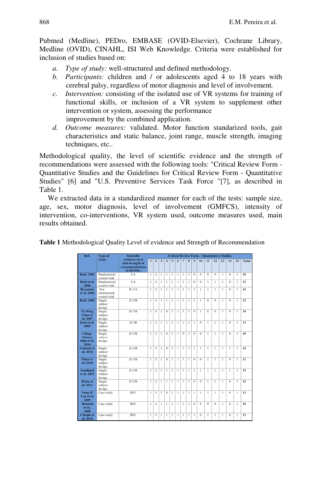Pubmed (Medline), PEDro, EMBASE (OVID-Elsevier), Cochrane Library, Medline (OVID), CINAHL, ISI Web Knowledge. Criteria were established for inclusion of studies based on:

- *a. Type of study:* well-structured and defined methodology.
- *b. Participants:* children and / or adolescents aged 4 to 18 years with cerebral palsy, regardless of motor diagnosis and level of involvement*.*
- *c. Intervention:* consisting of the isolated use of VR systems for training of functional skills, or inclusion of a VR system to supplement other intervention or system, assessing the performance improvement by the combined application.
- *d. Outcome measures:* validated. Motor function standarized tools, gait characteristics and static balance, joint range, muscle strength, imaging techniques, etc..

Methodological quality, the level of scientific evidence and the strength of recommendations were assessed with the following tools: "Critical Review Form - Quantitative Studies and the Guidelines for Critical Review Form - Quantitative Studies" [6] and "U.S. Preventive Services Task Force "[7], as described in Table 1.

We extracted data in a standardized manner for each of the tests: sample size, age, sex, motor diagnosis, level of involvement (GMFCS), intensity of intervention, co-interventions, VR system used, outcome measures used, main results obtained.

|                               | 72 P.F<br>study       | evidence level<br>and strength of | $\mathbf{I}$   | $\overline{2}$ | 3            | $\overline{\mathbf{4}}$ | 5            | 6            | $7\phantom{.0}$ | 8              | $\boldsymbol{9}$ | 10               | 11           | 12             | 13           | 14           | 15           | <b>Total</b> |
|-------------------------------|-----------------------|-----------------------------------|----------------|----------------|--------------|-------------------------|--------------|--------------|-----------------|----------------|------------------|------------------|--------------|----------------|--------------|--------------|--------------|--------------|
|                               |                       | recommendations<br>(USPSTF).      |                |                |              |                         |              |              |                 |                |                  |                  |              |                |              |              |              |              |
| <b>Reid. 2002</b>             | Randomized            | I/A                               | 1              | ı              | 1            | $\mathbf{1}$            | $\mathbf{1}$ | $\mathbf{I}$ | $\mathbf{1}$    | $\mathbf{1}$   | $\theta$         | $\theta$         | $\theta$     | $\Omega$       | $\mathbf{1}$ | $\theta$     | 1            | 10           |
|                               | control trial         |                                   |                |                |              |                         |              |              |                 |                |                  |                  |              |                |              |              |              |              |
| Reid et al.                   | Randomized            | I/A                               | 1              | 1              | 1            | $\mathbf{1}$            | $\mathbf{1}$ | $\mathbf{I}$ | $\mathbf{1}$    | $\mathbf{1}$   | $\theta$         | $\theta$         | 1            | 1              | $\mathbf{I}$ | $\theta$     | 1            | 12           |
| 2006<br><b>Bryanton</b>       | control trial<br>Not  | $II-1/A$                          | $\mathbf{I}$   | $\mathbf{I}$   | $\mathbf{I}$ | $\mathbf{I}$            | $\mathbf{I}$ | $\mathbf{I}$ | $\mathbf{1}$    | $\mathbf{1}$   | $\mathbf{I}$     | $\mathbf{I}$     | $\mathbf{I}$ | $\mathbf{I}$   | $\mathbf{I}$ | $\theta$     | $\mathbf{I}$ | 14           |
| et al. 2006                   | randomized            |                                   |                |                |              |                         |              |              |                 |                |                  |                  |              |                |              |              |              |              |
|                               | control trial         |                                   |                |                |              |                         |              |              |                 |                |                  |                  |              |                |              |              |              |              |
| <b>Reid. 2002</b>             | Single                | $II-3/B$                          | $\mathbf{1}$   | $\mathbf{I}$   | $\mathbf{1}$ | $\mathbf{1}$            | $\mathbf{1}$ | $\mathbf{1}$ | $\mathbf{1}$    | $\mathbf{1}$   | $\mathbf{1}$     | $\mathbf{1}$     | $\bf{0}$     | $\bf{0}$       | $\mathbf{1}$ | $\bf{0}$     | $\mathbf{1}$ | 12           |
|                               | subject               |                                   |                |                |              |                         |              |              |                 |                |                  |                  |              |                |              |              |              |              |
|                               | design.               |                                   |                |                |              |                         |              |              |                 |                |                  |                  |              |                |              |              |              |              |
| <b>Yu-Ping</b>                | Single                | $II-3/B$                          | $\mathbf{1}$   | $\mathbf{1}$   | $\mathbf{1}$ | $\overline{0}$          | $\mathbf{1}$ | $\mathbf{I}$ | $\mathbf{1}$    | $\mathbf{1}$   | $\overline{0}$   | $\mathbf{1}$     | $\theta$     | $\overline{0}$ | $\mathbf{1}$ | $\bf{0}$     | $\mathbf{1}$ | 10           |
| Chen et<br>al. 2007           | subject               |                                   |                |                |              |                         |              |              |                 |                |                  |                  |              |                |              |              |              |              |
| Kott et al.                   | design.<br>Single     | $II-3B$                           | $\mathbf{1}$   | 1              | $\mathbf{1}$ | $\mathbf{1}$            | $\mathbf{1}$ | $\mathbf{1}$ | $\mathbf{1}$    | 1              | $\mathbf{1}$     | $\theta$         | 1            | 1              | $\mathbf{1}$ | $\theta$     | $\mathbf{1}$ | 13           |
| 2009                          | subject               |                                   |                |                |              |                         |              |              |                 |                |                  |                  |              |                |              |              |              |              |
|                               | design.               |                                   |                |                |              |                         |              |              |                 |                |                  |                  |              |                |              |              |              |              |
| Ching-                        | Single                | $II-3/B$                          | $\mathbf{1}$   | 1              | $\mathbf{I}$ | $\theta$                | $\mathbf{1}$ | $\mathbf{I}$ | $\theta$        | $\overline{1}$ | $\theta$         | $\theta$         | 1            | I.             | $\mathbf{1}$ | $\Omega$     | $\mathbf{1}$ | 10           |
| <b>Hsiang</b>                 | subject               |                                   |                |                |              |                         |              |              |                 |                |                  |                  |              |                |              |              |              |              |
| Shih et al.                   | design.               |                                   |                |                |              |                         |              |              |                 |                |                  |                  |              |                |              |              |              |              |
| 2010                          |                       |                                   |                |                |              |                         |              |              |                 |                |                  |                  |              |                |              |              |              |              |
| <b>Golomb</b> et              | Single                | $II-3/B$                          | $\overline{1}$ | $\mathbf{1}$   | $\mathbf{1}$ | $\overline{0}$          | $\mathbf{1}$ | $\mathbf{1}$ | $\mathbf{1}$    | $\mathbf{1}$   | $\mathbf{1}$     | $\mathbf{1}$     | $\mathbf{1}$ | $\mathbf{1}$   | $\mathbf{1}$ | $\mathbf{1}$ | $\mathbf{1}$ | 14           |
| al. 2010                      | subject<br>design.    |                                   |                |                |              |                         |              |              |                 |                |                  |                  |              |                |              |              |              |              |
| <b>Fluet</b> et               | Single                | $II-3/B$                          | $\mathbf{I}$   | 1              | $\mathbf{I}$ | $\boldsymbol{0}$        | $\mathbf{1}$ | $\mathbf{I}$ | $\mathbf{1}$    | $\mathbf{1}$   | $\theta$         | $\theta$         | $\mathbf{I}$ | 1              | $\mathbf{1}$ | $\theta$     | $\mathbf{I}$ | 11           |
| al. 2010                      | subject               |                                   |                |                |              |                         |              |              |                 |                |                  |                  |              |                |              |              |              |              |
|                               | design.               |                                   |                |                |              |                         |              |              |                 |                |                  |                  |              |                |              |              |              |              |
| <b>Sandlund</b>               | Single                | $II-3/B$                          | 1              | 1              | $\mathbf{I}$ | $\mathbf{1}$            | $\mathbf{1}$ | $\mathbf{I}$ | $\mathbf{1}$    | $\mathbf{1}$   | $\mathbf{1}$     | $\mathbf{1}$     | 1            | 1              | $\mathbf{1}$ | $\mathbf{I}$ | 1            | 15           |
| et al. 2011                   | subject               |                                   |                |                |              |                         |              |              |                 |                |                  |                  |              |                |              |              |              |              |
|                               | design.               |                                   |                |                |              |                         |              |              |                 |                |                  |                  |              |                |              |              |              |              |
| <b>Brien</b> et               | Single                | $II-3/B$                          | $\mathbf{1}$   | $\mathbf{1}$   | $\mathbf{1}$ | $\mathbf{1}$            | $\mathbf{1}$ | $\mathbf{I}$ | $\mathbf{1}$    | $\mathbf{1}$   | $\overline{0}$   | $\theta$         | $\mathbf{I}$ | $\mathbf{I}$   | $\mathbf{1}$ | $\theta$     | $\mathbf{1}$ | 12           |
| al. 2011                      | subject               |                                   |                |                |              |                         |              |              |                 |                |                  |                  |              |                |              |              |              |              |
| <b>Sung H</b>                 | design.<br>Case study | <b>III/C</b>                      | $\mathbf{1}$   | 1              | $\mathbf{1}$ | $\overline{0}$          | $\mathbf{1}$ | $\mathbf{I}$ | $\mathbf{1}$    | $\mathbf{1}$   | $\mathbf{1}$     | $\mathbf{1}$     | 1            | $\mathbf{1}$   | $\mathbf{1}$ | $\bf{0}$     | $\mathbf{1}$ | 13           |
| You et al.                    |                       |                                   |                |                |              |                         |              |              |                 |                |                  |                  |              |                |              |              |              |              |
| 2005                          |                       |                                   |                |                |              |                         |              |              |                 |                |                  |                  |              |                |              |              |              |              |
| <b>Deutsch</b>                | Case study            | $\rm III/C$                       | $\mathbf{1}$   | 1              | $\mathbf{1}$ | $\mathbf{1}$            | $\mathbf{1}$ | $\mathbf{1}$ | $\mathbf{1}$    | $\mathbf{1}$   | $\Omega$         | $\Omega$         | $\theta$     | $\Omega$       | $\mathbf{1}$ | $\Omega$     | $\mathbf{1}$ | 10           |
| et al.,<br>2008               |                       |                                   |                |                |              |                         |              |              |                 |                |                  |                  |              |                |              |              |              |              |
| <b>Cikajlo</b> et<br>al. 2010 | Case study            | III/C                             | 1              | 1              | 1            | 1                       | $\mathbf{1}$ | $\mathbf{I}$ | $\mathbf{1}$    | $\mathbf{1}$   | 1                | $\boldsymbol{0}$ | 1            | 1              | $\mathbf{1}$ | $\bf{0}$     | 1            | 13           |

**Table 1** Methodological Quality Level of evidence and Strength of Recommendation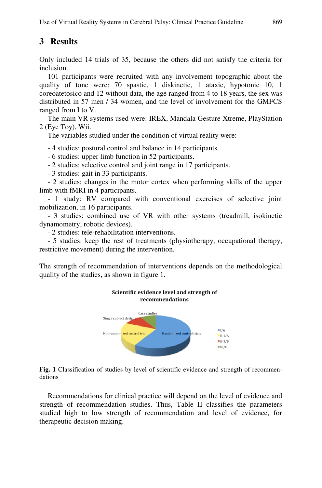# **3 Results**

Only included 14 trials of 35, because the others did not satisfy the criteria for inclusion.

101 participants were recruited with any involvement topographic about the quality of tone were: 70 spastic, 1 diskinetic, 1 ataxic, hypotonic 10, 1 coreoatetosico and 12 without data, the age ranged from 4 to 18 years, the sex was distributed in 57 men / 34 women, and the level of involvement for the GMFCS ranged from I to V.

The main VR systems used were: IREX, Mandala Gesture Xtreme, PlayStation 2 (Eye Toy), Wii.

The variables studied under the condition of virtual reality were:

- 4 studies: postural control and balance in 14 participants.

- 6 studies: upper limb function in 52 participants.

- 2 studies: selective control and joint range in 17 participants.

- 3 studies: gait in 33 participants.

- 2 studies: changes in the motor cortex when performing skills of the upper limb with fMRI in 4 participants.

- 1 study: RV compared with conventional exercises of selective joint mobilization, in 16 participants.

- 3 studies: combined use of VR with other systems (treadmill, isokinetic dynamometry, robotic devices).

- 2 studies: tele-rehabilitation interventions.

- 5 studies: keep the rest of treatments (physiotherapy, occupational therapy, restrictive movement) during the intervention.

The strength of recommendation of interventions depends on the methodological quality of the studies, as shown in figure 1.



**Fig. 1** Classification of studies by level of scientific evidence and strength of recommendations

Recommendations for clinical practice will depend on the level of evidence and strength of recommendation studies. Thus, Table II classifies the parameters studied high to low strength of recommendation and level of evidence, for therapeutic decision making.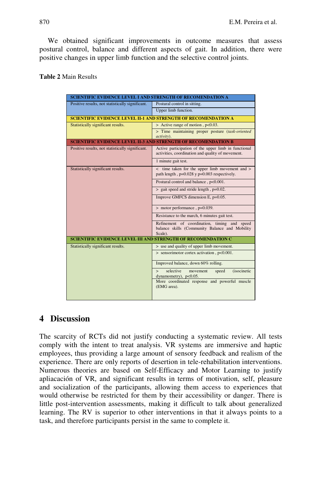We obtained significant improvements in outcome measures that assess postural control, balance and different aspects of gait. In addition, there were positive changes in upper limb function and the selective control joints.

#### **Table 2** Main Results

| <b>SCIENTIFIC EVIDENCE LEVEL I AND STRENGTH OF RECOMENDATION A</b>    |                                                                                                           |  |  |  |  |  |
|-----------------------------------------------------------------------|-----------------------------------------------------------------------------------------------------------|--|--|--|--|--|
| Positive results, not statistically significant.                      | Postural control in sitting.                                                                              |  |  |  |  |  |
|                                                                       | Upper limb function.                                                                                      |  |  |  |  |  |
| <b>SCIENTIFIC EVIDENCE LEVEL II-1 AND STRENGTH OF RECOMENDATION A</b> |                                                                                                           |  |  |  |  |  |
| Statistically significant results.                                    | > Active range of motion, p<0.03.                                                                         |  |  |  |  |  |
|                                                                       | > Time maintaining proper posture (task-oriented<br>activity).                                            |  |  |  |  |  |
| <b>SCIENTIFIC EVIDENCE LEVEL II-3 AND STRENGTH OF RECOMENDATION B</b> |                                                                                                           |  |  |  |  |  |
| Positive results, not statistically significant.                      | Active participation of the upper limb in functional<br>activities, coordination and quality of movement. |  |  |  |  |  |
|                                                                       | 1 minute gait test.                                                                                       |  |  |  |  |  |
| Statistically significant results.                                    | < time taken for the upper limb movement and ><br>path length, p=0.028 y p=0.003 respectively.            |  |  |  |  |  |
|                                                                       | Postural control and balance, p<0.001.                                                                    |  |  |  |  |  |
|                                                                       | > gait speed and stride length, p=0.02.                                                                   |  |  |  |  |  |
|                                                                       | Improve GMFCS dimension E, p=0.05.                                                                        |  |  |  |  |  |
|                                                                       | > motor performance, p=0.039.                                                                             |  |  |  |  |  |
|                                                                       | Resistance to the march, 6 minutes gait test.                                                             |  |  |  |  |  |
|                                                                       | Refinement of coordination, timing and speed<br>balance skills (Community Balance and Mobility<br>Scale). |  |  |  |  |  |
| <b>SCIENTIFIC EVIDENCE LEVEL III AND STRENGTH OF RECOMENDATION C</b>  |                                                                                                           |  |  |  |  |  |
| Statistically significant results.                                    | > use and quality of upper limb movement.                                                                 |  |  |  |  |  |
|                                                                       | $>$ sensorimotor cortex activation, $p<0.001$ .                                                           |  |  |  |  |  |
|                                                                       | Improved balance, down 60% rolling.                                                                       |  |  |  |  |  |
|                                                                       | selective<br><i>(isocinetic)</i><br>movement<br>speed<br>$\mathbf{r}$<br>dynamometry), p<0.05.            |  |  |  |  |  |
|                                                                       | More coordinated response and powerful muscle<br>(EMG area).                                              |  |  |  |  |  |
|                                                                       |                                                                                                           |  |  |  |  |  |

# **4 Discussion**

The scarcity of RCTs did not justify conducting a systematic review. All tests comply with the intent to treat analysis. VR systems are immersive and haptic employees, thus providing a large amount of sensory feedback and realism of the experience. There are only reports of desertion in tele-rehabilitation interventions. Numerous theories are based on Self-Efficacy and Motor Learning to justify apliacación of VR, and significant results in terms of motivation, self, pleasure and socialization of the participants, allowing them access to experiences that would otherwise be restricted for them by their accessibility or danger. There is little post-intervention assessments, making it difficult to talk about generalized learning. The RV is superior to other interventions in that it always points to a task, and therefore participants persist in the same to complete it.